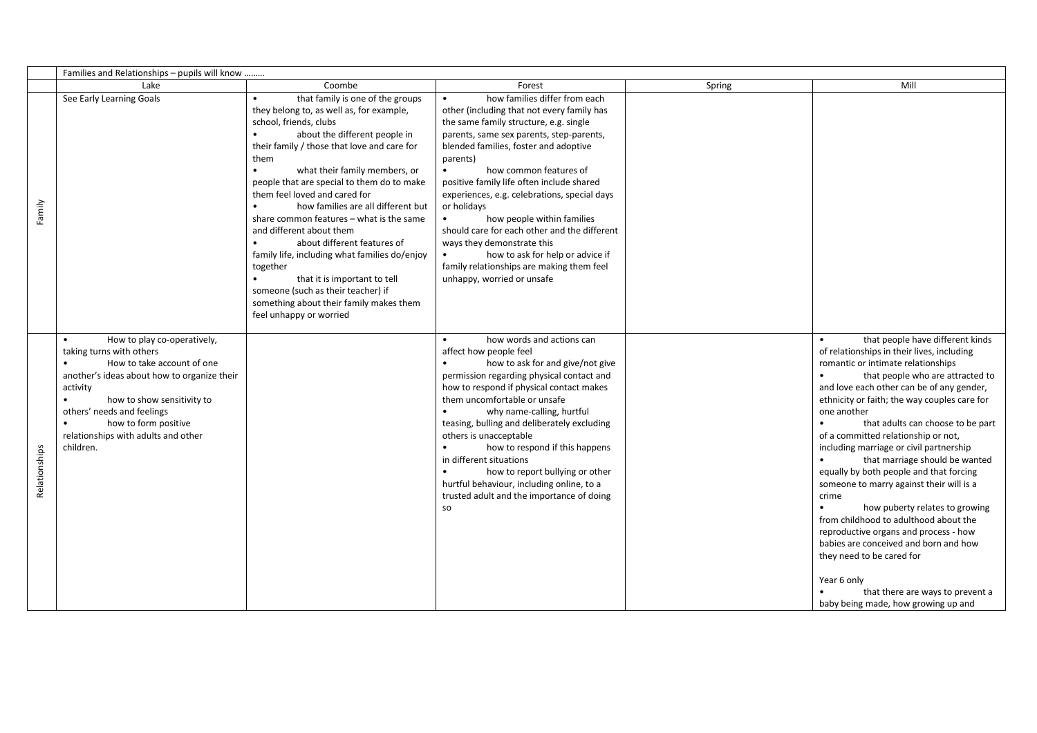|               | Families and Relationships - pupils will know                                                                                                                                                                                                                                                         |                                                                                                                                                                                                                                                                                                                                                                                                                                                                                                                                                                                                                                                                                                             |                                                                                                                                                                                                                                                                                                                                                                                                                                                                                                                                                                                                      |        |                                                                                                                                                                                                                                                                                                                                                                                                                                                                                                                                                                                                                                                                                                                                                                                                                                |
|---------------|-------------------------------------------------------------------------------------------------------------------------------------------------------------------------------------------------------------------------------------------------------------------------------------------------------|-------------------------------------------------------------------------------------------------------------------------------------------------------------------------------------------------------------------------------------------------------------------------------------------------------------------------------------------------------------------------------------------------------------------------------------------------------------------------------------------------------------------------------------------------------------------------------------------------------------------------------------------------------------------------------------------------------------|------------------------------------------------------------------------------------------------------------------------------------------------------------------------------------------------------------------------------------------------------------------------------------------------------------------------------------------------------------------------------------------------------------------------------------------------------------------------------------------------------------------------------------------------------------------------------------------------------|--------|--------------------------------------------------------------------------------------------------------------------------------------------------------------------------------------------------------------------------------------------------------------------------------------------------------------------------------------------------------------------------------------------------------------------------------------------------------------------------------------------------------------------------------------------------------------------------------------------------------------------------------------------------------------------------------------------------------------------------------------------------------------------------------------------------------------------------------|
|               | Lake                                                                                                                                                                                                                                                                                                  | Coombe                                                                                                                                                                                                                                                                                                                                                                                                                                                                                                                                                                                                                                                                                                      | Forest                                                                                                                                                                                                                                                                                                                                                                                                                                                                                                                                                                                               | Spring | Mill                                                                                                                                                                                                                                                                                                                                                                                                                                                                                                                                                                                                                                                                                                                                                                                                                           |
| Family        | See Early Learning Goals                                                                                                                                                                                                                                                                              | that family is one of the groups<br>$\bullet$<br>they belong to, as well as, for example,<br>school, friends, clubs<br>about the different people in<br>their family / those that love and care for<br>them<br>what their family members, or<br>$\bullet$<br>people that are special to them do to make<br>them feel loved and cared for<br>how families are all different but<br>share common features - what is the same<br>and different about them<br>about different features of<br>family life, including what families do/enjoy<br>together<br>that it is important to tell<br>$\bullet$<br>someone (such as their teacher) if<br>something about their family makes them<br>feel unhappy or worried | how families differ from each<br>other (including that not every family has<br>the same family structure, e.g. single<br>parents, same sex parents, step-parents,<br>blended families, foster and adoptive<br>parents)<br>how common features of<br>positive family life often include shared<br>experiences, e.g. celebrations, special days<br>or holidays<br>how people within families<br>$\bullet$<br>should care for each other and the different<br>ways they demonstrate this<br>how to ask for help or advice if<br>family relationships are making them feel<br>unhappy, worried or unsafe |        |                                                                                                                                                                                                                                                                                                                                                                                                                                                                                                                                                                                                                                                                                                                                                                                                                                |
| Relationships | How to play co-operatively,<br>taking turns with others<br>How to take account of one<br>another's ideas about how to organize their<br>activity<br>how to show sensitivity to<br>$\bullet$<br>others' needs and feelings<br>how to form positive<br>relationships with adults and other<br>children. |                                                                                                                                                                                                                                                                                                                                                                                                                                                                                                                                                                                                                                                                                                             | how words and actions can<br>affect how people feel<br>how to ask for and give/not give<br>permission regarding physical contact and<br>how to respond if physical contact makes<br>them uncomfortable or unsafe<br>why name-calling, hurtful<br>teasing, bulling and deliberately excluding<br>others is unacceptable<br>$\bullet$<br>how to respond if this happens<br>in different situations<br>how to report bullying or other<br>$\bullet$<br>hurtful behaviour, including online, to a<br>trusted adult and the importance of doing<br>so                                                     |        | that people have different kinds<br>of relationships in their lives, including<br>romantic or intimate relationships<br>$\bullet$<br>that people who are attracted to<br>and love each other can be of any gender,<br>ethnicity or faith; the way couples care for<br>one another<br>that adults can choose to be part<br>of a committed relationship or not,<br>including marriage or civil partnership<br>that marriage should be wanted<br>equally by both people and that forcing<br>someone to marry against their will is a<br>crime<br>how puberty relates to growing<br>from childhood to adulthood about the<br>reproductive organs and process - how<br>babies are conceived and born and how<br>they need to be cared for<br>Year 6 only<br>that there are ways to prevent a<br>baby being made, how growing up and |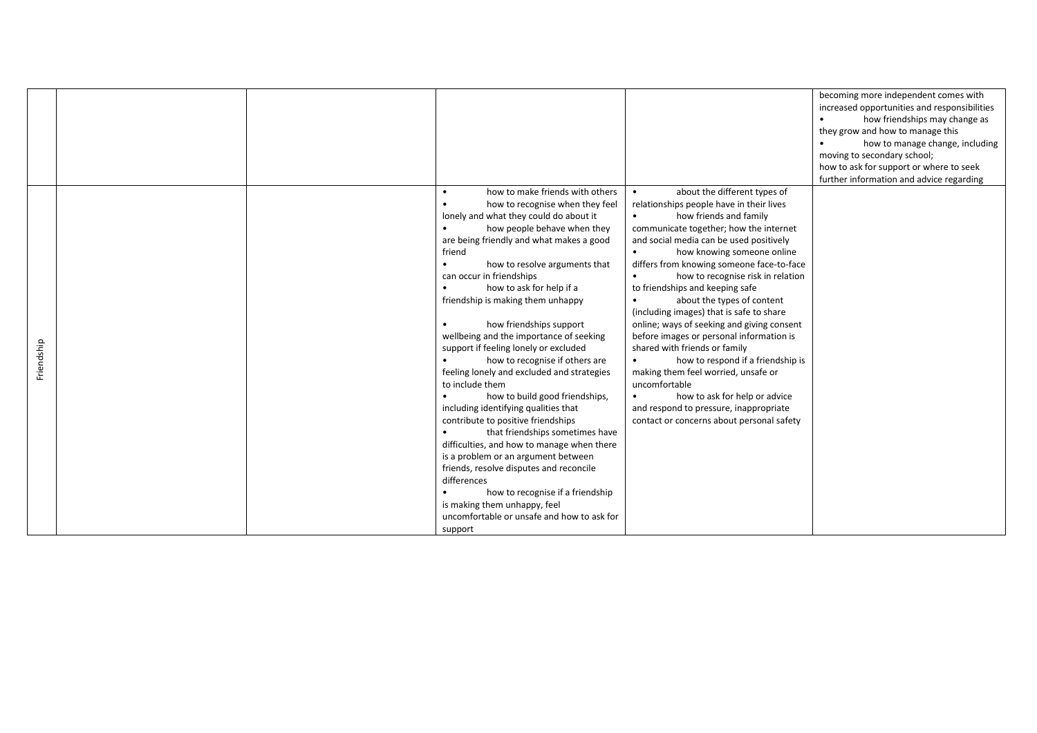|            |  |                                                                                                                                                                                                                                                                                                                                                                                                                                                                                                                                                                                                                                                                                                                                                                                                                                                                                                                                                                                                                                                   |                                                                                                                                                                                                                                                                                                                                                                                                                                                                                                                                                                                                                                                                                                                                                                                                                                       | becoming more independent comes with<br>increased opportunities and responsibilities<br>how friendships may change as<br>they grow and how to manage this<br>how to manage change, including<br>moving to secondary school;<br>how to ask for support or where to seek<br>further information and advice regarding |
|------------|--|---------------------------------------------------------------------------------------------------------------------------------------------------------------------------------------------------------------------------------------------------------------------------------------------------------------------------------------------------------------------------------------------------------------------------------------------------------------------------------------------------------------------------------------------------------------------------------------------------------------------------------------------------------------------------------------------------------------------------------------------------------------------------------------------------------------------------------------------------------------------------------------------------------------------------------------------------------------------------------------------------------------------------------------------------|---------------------------------------------------------------------------------------------------------------------------------------------------------------------------------------------------------------------------------------------------------------------------------------------------------------------------------------------------------------------------------------------------------------------------------------------------------------------------------------------------------------------------------------------------------------------------------------------------------------------------------------------------------------------------------------------------------------------------------------------------------------------------------------------------------------------------------------|--------------------------------------------------------------------------------------------------------------------------------------------------------------------------------------------------------------------------------------------------------------------------------------------------------------------|
| Friendship |  | how to make friends with others<br>how to recognise when they feel<br>lonely and what they could do about it<br>how people behave when they<br>$\bullet$<br>are being friendly and what makes a good<br>friend<br>how to resolve arguments that<br>$\bullet$<br>can occur in friendships<br>how to ask for help if a<br>$\bullet$<br>friendship is making them unhappy<br>how friendships support<br>wellbeing and the importance of seeking<br>support if feeling lonely or excluded<br>how to recognise if others are<br>feeling lonely and excluded and strategies<br>to include them<br>how to build good friendships,<br>$\bullet$<br>including identifying qualities that<br>contribute to positive friendships<br>that friendships sometimes have<br>$\bullet$<br>difficulties, and how to manage when there<br>is a problem or an argument between<br>friends, resolve disputes and reconcile<br>differences<br>how to recognise if a friendship<br>is making them unhappy, feel<br>uncomfortable or unsafe and how to ask for<br>support | about the different types of<br>$\bullet$<br>relationships people have in their lives<br>how friends and family<br>$\bullet$<br>communicate together; how the internet<br>and social media can be used positively<br>how knowing someone online<br>differs from knowing someone face-to-face<br>how to recognise risk in relation<br>$\bullet$<br>to friendships and keeping safe<br>about the types of content<br>(including images) that is safe to share<br>online; ways of seeking and giving consent<br>before images or personal information is<br>shared with friends or family<br>how to respond if a friendship is<br>$\bullet$<br>making them feel worried, unsafe or<br>uncomfortable<br>how to ask for help or advice<br>$\bullet$<br>and respond to pressure, inappropriate<br>contact or concerns about personal safety |                                                                                                                                                                                                                                                                                                                    |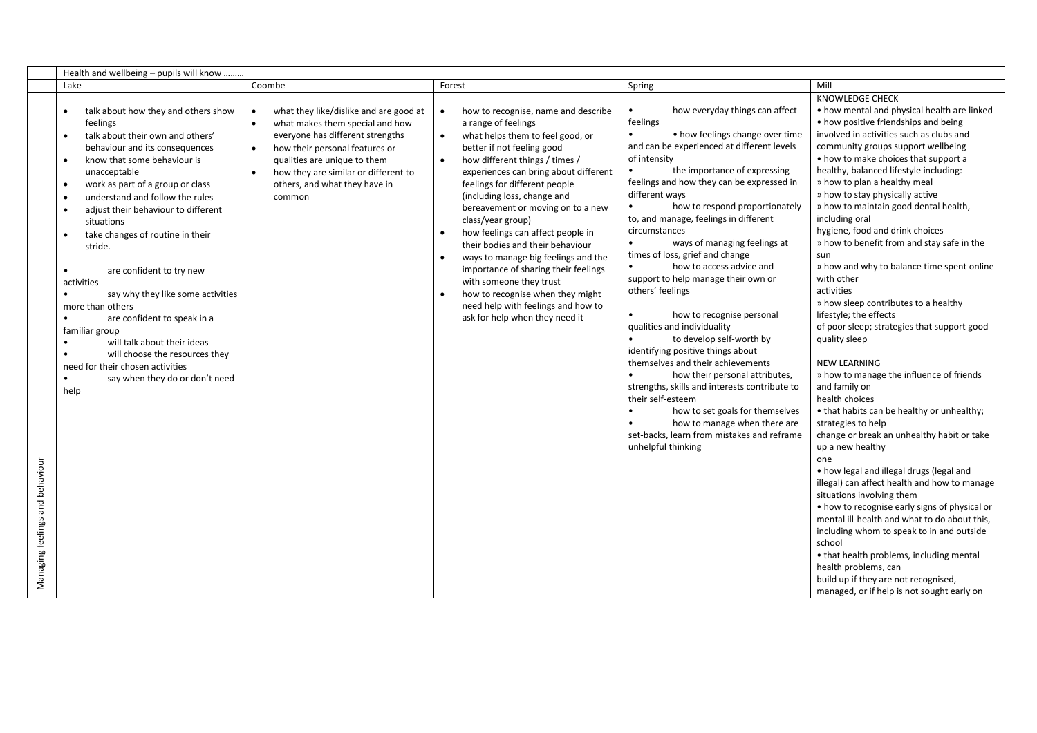|                                 | Health and wellbeing - pupils will know                                                                                                                                                                                                                                                                                                                                                                                                                                                                                                                                                                                                                                                                                                       |                                                                                                                                                                                                                                                                                              |                                                                                                                                                                                                                                                                                                                                                                                                                                                                                                                                                                                                                                               |                                                                                                                                                                                                                                                                                                                                                                                                                                                                                                                                                                                                                                                                                                                                                                                                                                                                                                                                                                                    |                                                                                                                                                                                                                                                                                                                                                                                                                                                                                                                                                                                                                                                                                                                                                                                                                                                                                                                                                                                                                                                                                                                                                                                                                                                                                                                                                                                                                   |
|---------------------------------|-----------------------------------------------------------------------------------------------------------------------------------------------------------------------------------------------------------------------------------------------------------------------------------------------------------------------------------------------------------------------------------------------------------------------------------------------------------------------------------------------------------------------------------------------------------------------------------------------------------------------------------------------------------------------------------------------------------------------------------------------|----------------------------------------------------------------------------------------------------------------------------------------------------------------------------------------------------------------------------------------------------------------------------------------------|-----------------------------------------------------------------------------------------------------------------------------------------------------------------------------------------------------------------------------------------------------------------------------------------------------------------------------------------------------------------------------------------------------------------------------------------------------------------------------------------------------------------------------------------------------------------------------------------------------------------------------------------------|------------------------------------------------------------------------------------------------------------------------------------------------------------------------------------------------------------------------------------------------------------------------------------------------------------------------------------------------------------------------------------------------------------------------------------------------------------------------------------------------------------------------------------------------------------------------------------------------------------------------------------------------------------------------------------------------------------------------------------------------------------------------------------------------------------------------------------------------------------------------------------------------------------------------------------------------------------------------------------|-------------------------------------------------------------------------------------------------------------------------------------------------------------------------------------------------------------------------------------------------------------------------------------------------------------------------------------------------------------------------------------------------------------------------------------------------------------------------------------------------------------------------------------------------------------------------------------------------------------------------------------------------------------------------------------------------------------------------------------------------------------------------------------------------------------------------------------------------------------------------------------------------------------------------------------------------------------------------------------------------------------------------------------------------------------------------------------------------------------------------------------------------------------------------------------------------------------------------------------------------------------------------------------------------------------------------------------------------------------------------------------------------------------------|
|                                 | Lake                                                                                                                                                                                                                                                                                                                                                                                                                                                                                                                                                                                                                                                                                                                                          | Coombe                                                                                                                                                                                                                                                                                       | Forest                                                                                                                                                                                                                                                                                                                                                                                                                                                                                                                                                                                                                                        | Spring                                                                                                                                                                                                                                                                                                                                                                                                                                                                                                                                                                                                                                                                                                                                                                                                                                                                                                                                                                             | Mill                                                                                                                                                                                                                                                                                                                                                                                                                                                                                                                                                                                                                                                                                                                                                                                                                                                                                                                                                                                                                                                                                                                                                                                                                                                                                                                                                                                                              |
| Managing feelings and behaviour | talk about how they and others show<br>$\bullet$<br>feelings<br>talk about their own and others'<br>$\bullet$<br>behaviour and its consequences<br>know that some behaviour is<br>$\bullet$<br>unacceptable<br>work as part of a group or class<br>$\bullet$<br>understand and follow the rules<br>$\bullet$<br>adjust their behaviour to different<br>$\bullet$<br>situations<br>take changes of routine in their<br>$\bullet$<br>stride.<br>are confident to try new<br>activities<br>say why they like some activities<br>more than others<br>are confident to speak in a<br>familiar group<br>will talk about their ideas<br>will choose the resources they<br>need for their chosen activities<br>say when they do or don't need<br>help | what they like/dislike and are good at<br>what makes them special and how<br>$\bullet$<br>everyone has different strengths<br>how their personal features or<br>$\bullet$<br>qualities are unique to them<br>how they are similar or different to<br>others, and what they have in<br>common | how to recognise, name and describe<br>a range of feelings<br>what helps them to feel good, or<br>better if not feeling good<br>how different things / times /<br>$\bullet$<br>experiences can bring about different<br>feelings for different people<br>(including loss, change and<br>bereavement or moving on to a new<br>class/year group)<br>how feelings can affect people in<br>their bodies and their behaviour<br>ways to manage big feelings and the<br>importance of sharing their feelings<br>with someone they trust<br>how to recognise when they might<br>need help with feelings and how to<br>ask for help when they need it | how everyday things can affect<br>feelings<br>• how feelings change over time<br>$\bullet$<br>and can be experienced at different levels<br>of intensity<br>the importance of expressing<br>feelings and how they can be expressed in<br>different ways<br>how to respond proportionately<br>$\bullet$<br>to, and manage, feelings in different<br>circumstances<br>ways of managing feelings at<br>$\bullet$<br>times of loss, grief and change<br>how to access advice and<br>support to help manage their own or<br>others' feelings<br>how to recognise personal<br>qualities and individuality<br>to develop self-worth by<br>$\bullet$<br>identifying positive things about<br>themselves and their achievements<br>how their personal attributes,<br>strengths, skills and interests contribute to<br>their self-esteem<br>how to set goals for themselves<br>$\bullet$<br>how to manage when there are<br>set-backs, learn from mistakes and reframe<br>unhelpful thinking | <b>KNOWLEDGE CHECK</b><br>• how mental and physical health are linked<br>• how positive friendships and being<br>involved in activities such as clubs and<br>community groups support wellbeing<br>• how to make choices that support a<br>healthy, balanced lifestyle including:<br>» how to plan a healthy meal<br>» how to stay physically active<br>» how to maintain good dental health,<br>including oral<br>hygiene, food and drink choices<br>» how to benefit from and stay safe in the<br>sun<br>» how and why to balance time spent online<br>with other<br>activities<br>» how sleep contributes to a healthy<br>lifestyle; the effects<br>of poor sleep; strategies that support good<br>quality sleep<br><b>NEW LEARNING</b><br>» how to manage the influence of friends<br>and family on<br>health choices<br>• that habits can be healthy or unhealthy;<br>strategies to help<br>change or break an unhealthy habit or take<br>up a new healthy<br>one<br>• how legal and illegal drugs (legal and<br>illegal) can affect health and how to manage<br>situations involving them<br>• how to recognise early signs of physical or<br>mental ill-health and what to do about this,<br>including whom to speak to in and outside<br>school<br>• that health problems, including mental<br>health problems, can<br>build up if they are not recognised,<br>managed, or if help is not sought early on |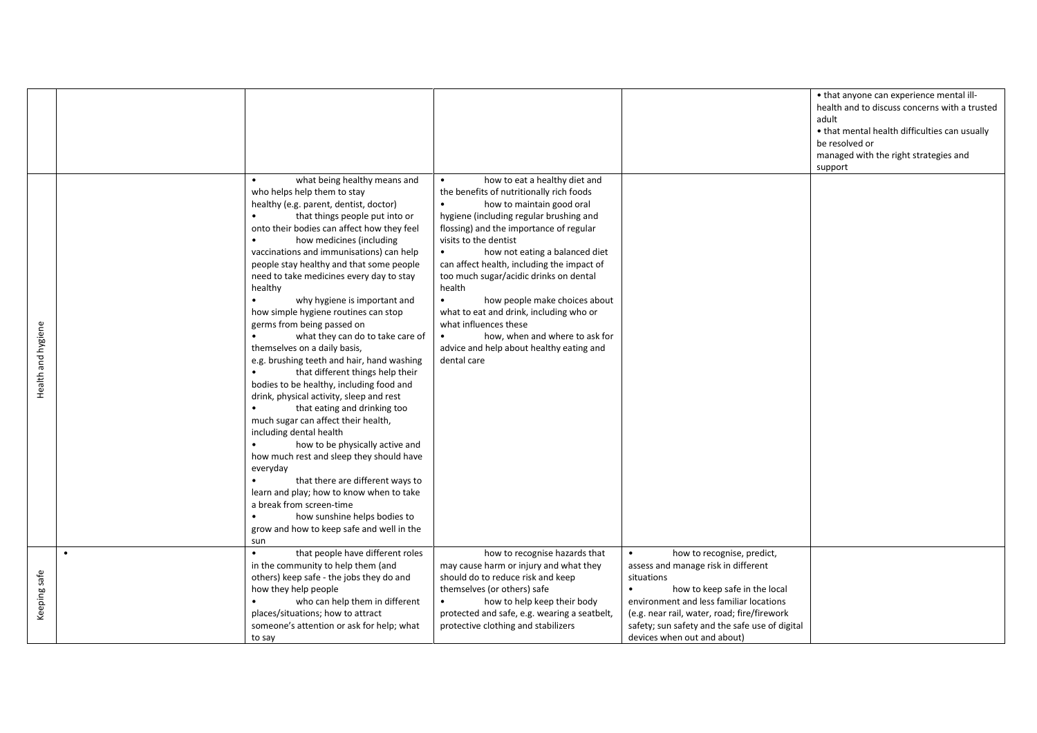|                    |                                                                                                                                                                                                                                                                                                                                                                                                                                                                                                                                                                                                                                                                                                                                                                                                                                                                                                                                                                                                                                                                                                                   |                                                                                                                                                                                                                                                                                                                                                                                                                                                                                                                                                                                       |                                                                                        | • that anyone can experience mental ill-<br>health and to discuss concerns with a trusted<br>adult<br>• that mental health difficulties can usually |
|--------------------|-------------------------------------------------------------------------------------------------------------------------------------------------------------------------------------------------------------------------------------------------------------------------------------------------------------------------------------------------------------------------------------------------------------------------------------------------------------------------------------------------------------------------------------------------------------------------------------------------------------------------------------------------------------------------------------------------------------------------------------------------------------------------------------------------------------------------------------------------------------------------------------------------------------------------------------------------------------------------------------------------------------------------------------------------------------------------------------------------------------------|---------------------------------------------------------------------------------------------------------------------------------------------------------------------------------------------------------------------------------------------------------------------------------------------------------------------------------------------------------------------------------------------------------------------------------------------------------------------------------------------------------------------------------------------------------------------------------------|----------------------------------------------------------------------------------------|-----------------------------------------------------------------------------------------------------------------------------------------------------|
|                    |                                                                                                                                                                                                                                                                                                                                                                                                                                                                                                                                                                                                                                                                                                                                                                                                                                                                                                                                                                                                                                                                                                                   |                                                                                                                                                                                                                                                                                                                                                                                                                                                                                                                                                                                       |                                                                                        | be resolved or<br>managed with the right strategies and<br>support                                                                                  |
| Health and hygiene | what being healthy means and<br>who helps help them to stay<br>healthy (e.g. parent, dentist, doctor)<br>that things people put into or<br>onto their bodies can affect how they feel<br>how medicines (including<br>vaccinations and immunisations) can help<br>people stay healthy and that some people<br>need to take medicines every day to stay<br>healthy<br>why hygiene is important and<br>how simple hygiene routines can stop<br>germs from being passed on<br>what they can do to take care of<br>themselves on a daily basis,<br>e.g. brushing teeth and hair, hand washing<br>that different things help their<br>bodies to be healthy, including food and<br>drink, physical activity, sleep and rest<br>that eating and drinking too<br>much sugar can affect their health,<br>including dental health<br>how to be physically active and<br>how much rest and sleep they should have<br>everyday<br>that there are different ways to<br>learn and play; how to know when to take<br>a break from screen-time<br>how sunshine helps bodies to<br>grow and how to keep safe and well in the<br>sun | how to eat a healthy diet and<br>the benefits of nutritionally rich foods<br>how to maintain good oral<br>hygiene (including regular brushing and<br>flossing) and the importance of regular<br>visits to the dentist<br>how not eating a balanced diet<br>can affect health, including the impact of<br>too much sugar/acidic drinks on dental<br>health<br>$\bullet$<br>how people make choices about<br>what to eat and drink, including who or<br>what influences these<br>how, when and where to ask for<br>$\bullet$<br>advice and help about healthy eating and<br>dental care |                                                                                        |                                                                                                                                                     |
|                    | that people have different roles<br>in the community to help them (and                                                                                                                                                                                                                                                                                                                                                                                                                                                                                                                                                                                                                                                                                                                                                                                                                                                                                                                                                                                                                                            | how to recognise hazards that<br>may cause harm or injury and what they                                                                                                                                                                                                                                                                                                                                                                                                                                                                                                               | how to recognise, predict,<br>$\bullet$<br>assess and manage risk in different         |                                                                                                                                                     |
| Keeping safe       | others) keep safe - the jobs they do and<br>how they help people                                                                                                                                                                                                                                                                                                                                                                                                                                                                                                                                                                                                                                                                                                                                                                                                                                                                                                                                                                                                                                                  | should do to reduce risk and keep<br>themselves (or others) safe                                                                                                                                                                                                                                                                                                                                                                                                                                                                                                                      | situations<br>how to keep safe in the local<br>$\bullet$                               |                                                                                                                                                     |
|                    | who can help them in different<br>places/situations; how to attract                                                                                                                                                                                                                                                                                                                                                                                                                                                                                                                                                                                                                                                                                                                                                                                                                                                                                                                                                                                                                                               | how to help keep their body<br>protected and safe, e.g. wearing a seatbelt,                                                                                                                                                                                                                                                                                                                                                                                                                                                                                                           | environment and less familiar locations<br>(e.g. near rail, water, road; fire/firework |                                                                                                                                                     |
|                    | someone's attention or ask for help; what<br>to say                                                                                                                                                                                                                                                                                                                                                                                                                                                                                                                                                                                                                                                                                                                                                                                                                                                                                                                                                                                                                                                               | protective clothing and stabilizers                                                                                                                                                                                                                                                                                                                                                                                                                                                                                                                                                   | safety; sun safety and the safe use of digital<br>devices when out and about)          |                                                                                                                                                     |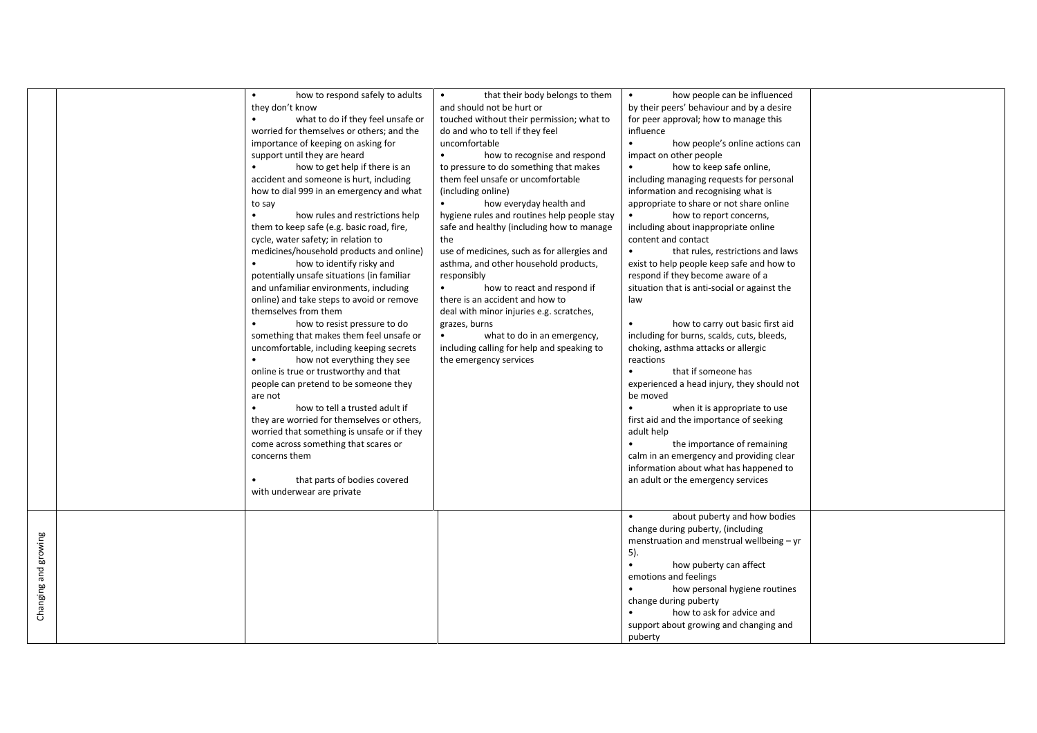|                      | how to respond safely to adults<br>they don't know<br>what to do if they feel unsafe or<br>worried for themselves or others; and the<br>importance of keeping on asking for<br>support until they are heard<br>how to get help if there is an<br>accident and someone is hurt, including<br>how to dial 999 in an emergency and what<br>to say<br>how rules and restrictions help<br>$\bullet$<br>them to keep safe (e.g. basic road, fire,<br>cycle, water safety; in relation to<br>medicines/household products and online)<br>how to identify risky and<br>potentially unsafe situations (in familiar<br>and unfamiliar environments, including<br>online) and take steps to avoid or remove<br>themselves from them<br>how to resist pressure to do<br>something that makes them feel unsafe or<br>uncomfortable, including keeping secrets<br>how not everything they see<br>$\bullet$<br>online is true or trustworthy and that<br>people can pretend to be someone they<br>are not<br>how to tell a trusted adult if<br>$\bullet$<br>they are worried for themselves or others,<br>worried that something is unsafe or if they<br>come across something that scares or<br>concerns them<br>that parts of bodies covered<br>with underwear are private | that their body belongs to them<br>and should not be hurt or<br>touched without their permission; what to<br>do and who to tell if they feel<br>uncomfortable<br>$\bullet$<br>how to recognise and respond<br>to pressure to do something that makes<br>them feel unsafe or uncomfortable<br>(including online)<br>how everyday health and<br>hygiene rules and routines help people stay<br>safe and healthy (including how to manage<br>the<br>use of medicines, such as for allergies and<br>asthma, and other household products,<br>responsibly<br>how to react and respond if<br>there is an accident and how to<br>deal with minor injuries e.g. scratches,<br>grazes, burns<br>$\bullet$<br>what to do in an emergency,<br>including calling for help and speaking to<br>the emergency services | how people can be influenced<br>$\bullet$<br>by their peers' behaviour and by a desire<br>for peer approval; how to manage this<br>influence<br>$\bullet$<br>how people's online actions can<br>impact on other people<br>how to keep safe online,<br>including managing requests for personal<br>information and recognising what is<br>appropriate to share or not share online<br>how to report concerns,<br>including about inappropriate online<br>content and contact<br>that rules, restrictions and laws<br>$\bullet$<br>exist to help people keep safe and how to<br>respond if they become aware of a<br>situation that is anti-social or against the<br>law<br>how to carry out basic first aid<br>including for burns, scalds, cuts, bleeds,<br>choking, asthma attacks or allergic<br>reactions<br>$\bullet$<br>that if someone has<br>experienced a head injury, they should not<br>be moved<br>when it is appropriate to use<br>first aid and the importance of seeking<br>adult help<br>the importance of remaining<br>calm in an emergency and providing clear<br>information about what has happened to<br>an adult or the emergency services |  |
|----------------------|---------------------------------------------------------------------------------------------------------------------------------------------------------------------------------------------------------------------------------------------------------------------------------------------------------------------------------------------------------------------------------------------------------------------------------------------------------------------------------------------------------------------------------------------------------------------------------------------------------------------------------------------------------------------------------------------------------------------------------------------------------------------------------------------------------------------------------------------------------------------------------------------------------------------------------------------------------------------------------------------------------------------------------------------------------------------------------------------------------------------------------------------------------------------------------------------------------------------------------------------------------------|---------------------------------------------------------------------------------------------------------------------------------------------------------------------------------------------------------------------------------------------------------------------------------------------------------------------------------------------------------------------------------------------------------------------------------------------------------------------------------------------------------------------------------------------------------------------------------------------------------------------------------------------------------------------------------------------------------------------------------------------------------------------------------------------------------|-----------------------------------------------------------------------------------------------------------------------------------------------------------------------------------------------------------------------------------------------------------------------------------------------------------------------------------------------------------------------------------------------------------------------------------------------------------------------------------------------------------------------------------------------------------------------------------------------------------------------------------------------------------------------------------------------------------------------------------------------------------------------------------------------------------------------------------------------------------------------------------------------------------------------------------------------------------------------------------------------------------------------------------------------------------------------------------------------------------------------------------------------------------------|--|
| Changing and growing |                                                                                                                                                                                                                                                                                                                                                                                                                                                                                                                                                                                                                                                                                                                                                                                                                                                                                                                                                                                                                                                                                                                                                                                                                                                               |                                                                                                                                                                                                                                                                                                                                                                                                                                                                                                                                                                                                                                                                                                                                                                                                         | about puberty and how bodies<br>change during puberty, (including<br>menstruation and menstrual wellbeing - yr<br>5).<br>$\bullet$<br>how puberty can affect<br>emotions and feelings<br>how personal hygiene routines<br>change during puberty<br>how to ask for advice and<br>support about growing and changing and<br>puberty                                                                                                                                                                                                                                                                                                                                                                                                                                                                                                                                                                                                                                                                                                                                                                                                                               |  |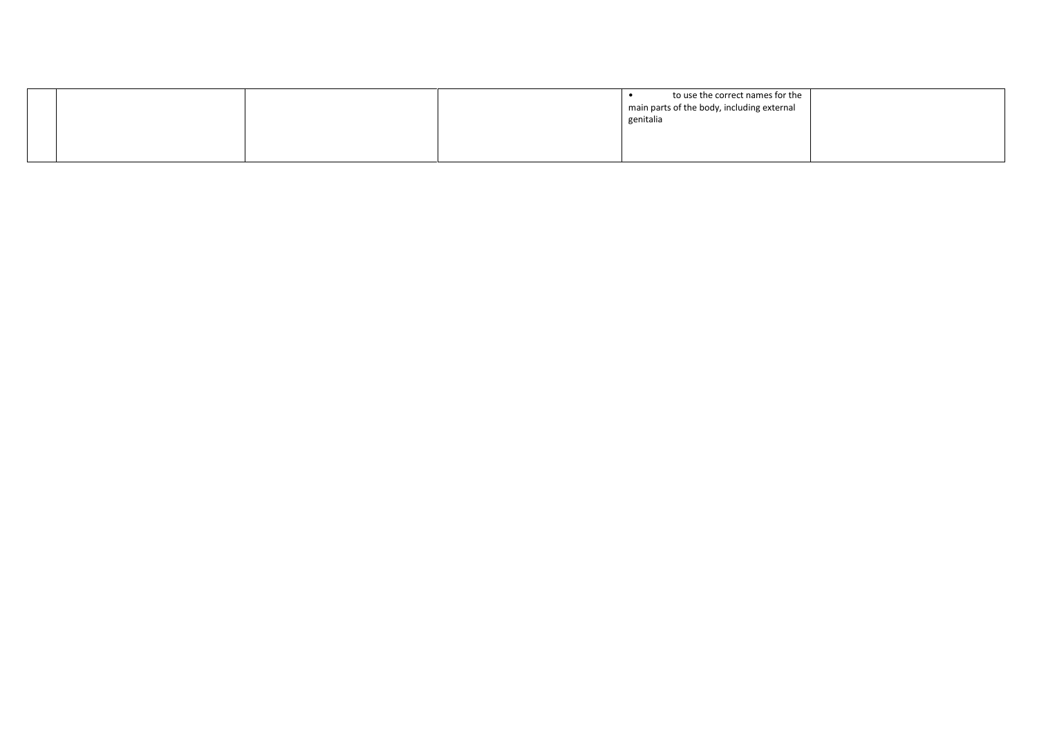|  |  | to use the correct names for the<br>main parts of the body, including external<br>genitalia |  |
|--|--|---------------------------------------------------------------------------------------------|--|
|  |  |                                                                                             |  |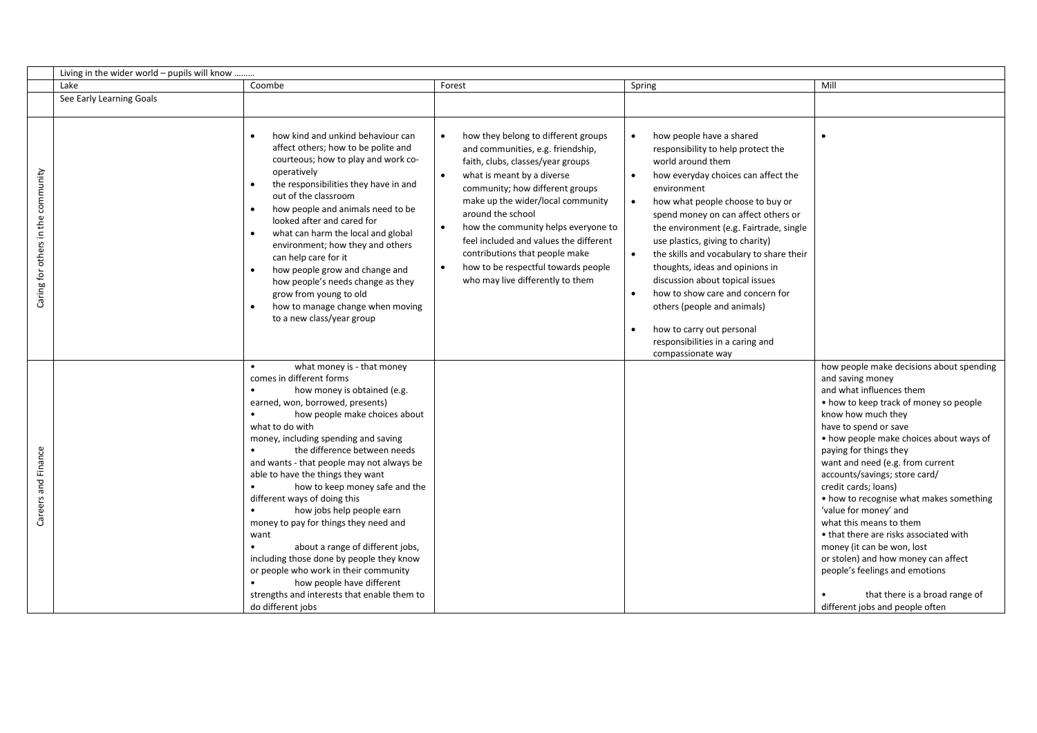|                                    | Living in the wider world - pupils will know |                                                                                                                                                                                                                                                                                                                                                                                                                                                                                                                                                                                                                                                                                                                                             |                                                                                                                                                                                                                                                                                                                                                                                                                                                                  |                                                                                                                                                                                                                                                                                                                                                                                                                                                                                                                                                                                                                                    |                                                                                                                                                                                                                                                                                                                                                                                                                                                                                                                                                                                                                                                                          |
|------------------------------------|----------------------------------------------|---------------------------------------------------------------------------------------------------------------------------------------------------------------------------------------------------------------------------------------------------------------------------------------------------------------------------------------------------------------------------------------------------------------------------------------------------------------------------------------------------------------------------------------------------------------------------------------------------------------------------------------------------------------------------------------------------------------------------------------------|------------------------------------------------------------------------------------------------------------------------------------------------------------------------------------------------------------------------------------------------------------------------------------------------------------------------------------------------------------------------------------------------------------------------------------------------------------------|------------------------------------------------------------------------------------------------------------------------------------------------------------------------------------------------------------------------------------------------------------------------------------------------------------------------------------------------------------------------------------------------------------------------------------------------------------------------------------------------------------------------------------------------------------------------------------------------------------------------------------|--------------------------------------------------------------------------------------------------------------------------------------------------------------------------------------------------------------------------------------------------------------------------------------------------------------------------------------------------------------------------------------------------------------------------------------------------------------------------------------------------------------------------------------------------------------------------------------------------------------------------------------------------------------------------|
|                                    | Lake                                         | Coombe                                                                                                                                                                                                                                                                                                                                                                                                                                                                                                                                                                                                                                                                                                                                      | Forest                                                                                                                                                                                                                                                                                                                                                                                                                                                           | Spring                                                                                                                                                                                                                                                                                                                                                                                                                                                                                                                                                                                                                             | Mill                                                                                                                                                                                                                                                                                                                                                                                                                                                                                                                                                                                                                                                                     |
|                                    | See Early Learning Goals                     |                                                                                                                                                                                                                                                                                                                                                                                                                                                                                                                                                                                                                                                                                                                                             |                                                                                                                                                                                                                                                                                                                                                                                                                                                                  |                                                                                                                                                                                                                                                                                                                                                                                                                                                                                                                                                                                                                                    |                                                                                                                                                                                                                                                                                                                                                                                                                                                                                                                                                                                                                                                                          |
| Caring for others in the community |                                              | how kind and unkind behaviour can<br>affect others; how to be polite and<br>courteous; how to play and work co-<br>operatively<br>the responsibilities they have in and<br>$\bullet$<br>out of the classroom<br>how people and animals need to be<br>$\bullet$<br>looked after and cared for<br>what can harm the local and global<br>environment; how they and others<br>can help care for it<br>how people grow and change and<br>how people's needs change as they<br>grow from young to old<br>how to manage change when moving<br>to a new class/year group                                                                                                                                                                            | how they belong to different groups<br>and communities, e.g. friendship,<br>faith, clubs, classes/year groups<br>what is meant by a diverse<br>$\bullet$<br>community; how different groups<br>make up the wider/local community<br>around the school<br>how the community helps everyone to<br>feel included and values the different<br>contributions that people make<br>how to be respectful towards people<br>$\bullet$<br>who may live differently to them | $\bullet$<br>how people have a shared<br>responsibility to help protect the<br>world around them<br>how everyday choices can affect the<br>environment<br>how what people choose to buy or<br>$\bullet$<br>spend money on can affect others or<br>the environment (e.g. Fairtrade, single<br>use plastics, giving to charity)<br>the skills and vocabulary to share their<br>$\bullet$<br>thoughts, ideas and opinions in<br>discussion about topical issues<br>how to show care and concern for<br>$\bullet$<br>others (people and animals)<br>how to carry out personal<br>responsibilities in a caring and<br>compassionate way |                                                                                                                                                                                                                                                                                                                                                                                                                                                                                                                                                                                                                                                                          |
| Careers and Finance                |                                              | what money is - that money<br>comes in different forms<br>how money is obtained (e.g.<br>$\bullet$<br>earned, won, borrowed, presents)<br>how people make choices about<br>what to do with<br>money, including spending and saving<br>the difference between needs<br>and wants - that people may not always be<br>able to have the things they want<br>how to keep money safe and the<br>$\bullet$<br>different ways of doing this<br>how jobs help people earn<br>money to pay for things they need and<br>want<br>about a range of different jobs,<br>including those done by people they know<br>or people who work in their community<br>how people have different<br>strengths and interests that enable them to<br>do different jobs |                                                                                                                                                                                                                                                                                                                                                                                                                                                                  |                                                                                                                                                                                                                                                                                                                                                                                                                                                                                                                                                                                                                                    | how people make decisions about spending<br>and saving money<br>and what influences them<br>• how to keep track of money so people<br>know how much they<br>have to spend or save<br>• how people make choices about ways of<br>paying for things they<br>want and need (e.g. from current<br>accounts/savings; store card/<br>credit cards; loans)<br>• how to recognise what makes something<br>'value for money' and<br>what this means to them<br>• that there are risks associated with<br>money (it can be won, lost<br>or stolen) and how money can affect<br>people's feelings and emotions<br>that there is a broad range of<br>different jobs and people often |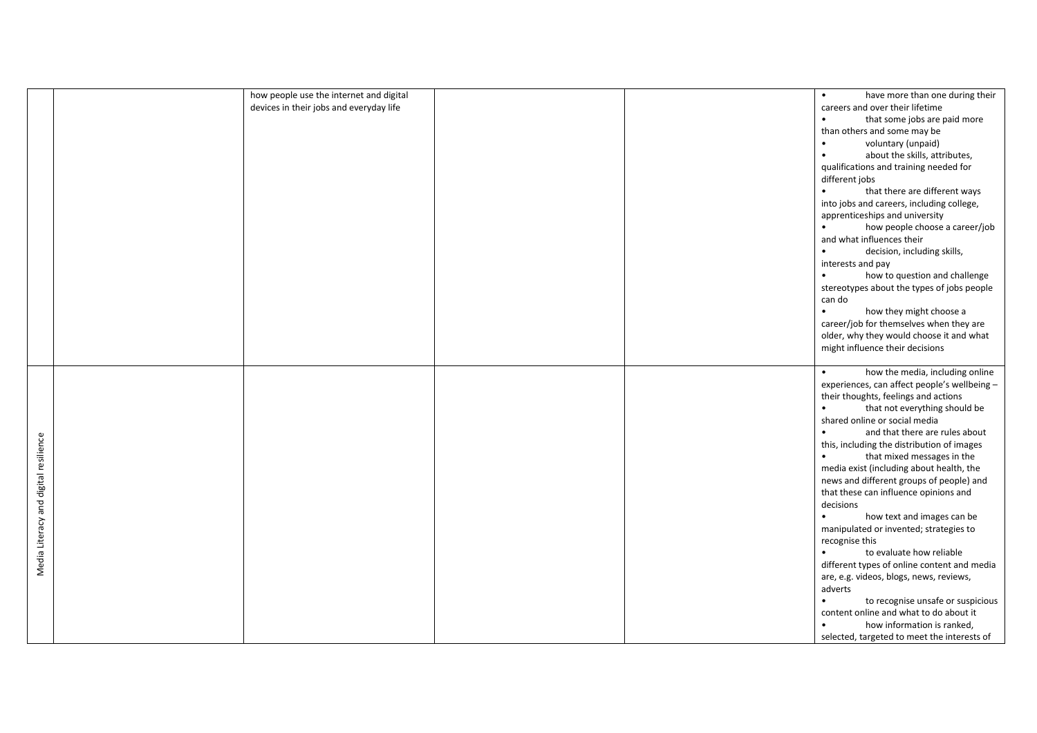|                                       | how people use the internet and digital | have more than one during their<br>$\bullet$   |
|---------------------------------------|-----------------------------------------|------------------------------------------------|
|                                       | devices in their jobs and everyday life | careers and over their lifetime                |
|                                       |                                         |                                                |
|                                       |                                         | that some jobs are paid more<br>$\bullet$      |
|                                       |                                         | than others and some may be                    |
|                                       |                                         | $\bullet$<br>voluntary (unpaid)                |
|                                       |                                         | about the skills, attributes,<br>$\bullet$     |
|                                       |                                         | qualifications and training needed for         |
|                                       |                                         | different jobs                                 |
|                                       |                                         | that there are different ways<br>$\bullet$     |
|                                       |                                         | into jobs and careers, including college,      |
|                                       |                                         | apprenticeships and university                 |
|                                       |                                         | how people choose a career/job<br>$\bullet$    |
|                                       |                                         | and what influences their                      |
|                                       |                                         | decision, including skills,<br>$\bullet$       |
|                                       |                                         | interests and pay                              |
|                                       |                                         | how to question and challenge<br>$\bullet$     |
|                                       |                                         | stereotypes about the types of jobs people     |
|                                       |                                         |                                                |
|                                       |                                         | can do                                         |
|                                       |                                         | how they might choose a<br>$\bullet$           |
|                                       |                                         | career/job for themselves when they are        |
|                                       |                                         | older, why they would choose it and what       |
|                                       |                                         | might influence their decisions                |
|                                       |                                         |                                                |
|                                       |                                         | how the media, including online<br>$\bullet$   |
|                                       |                                         | experiences, can affect people's wellbeing -   |
|                                       |                                         | their thoughts, feelings and actions           |
|                                       |                                         | that not everything should be<br>$\bullet$     |
|                                       |                                         | shared online or social media                  |
|                                       |                                         | and that there are rules about                 |
|                                       |                                         | this, including the distribution of images     |
|                                       |                                         | that mixed messages in the<br>$\bullet$        |
|                                       |                                         | media exist (including about health, the       |
|                                       |                                         | news and different groups of people) and       |
|                                       |                                         | that these can influence opinions and          |
|                                       |                                         | decisions                                      |
|                                       |                                         | how text and images can be<br>$\bullet$        |
| Media Literacy and digital resilience |                                         |                                                |
|                                       |                                         | manipulated or invented; strategies to         |
|                                       |                                         | recognise this                                 |
|                                       |                                         | to evaluate how reliable<br>$\bullet$          |
|                                       |                                         | different types of online content and media    |
|                                       |                                         | are, e.g. videos, blogs, news, reviews,        |
|                                       |                                         | adverts                                        |
|                                       |                                         | to recognise unsafe or suspicious<br>$\bullet$ |
|                                       |                                         | content online and what to do about it         |
|                                       |                                         | how information is ranked,<br>$\bullet$        |
|                                       |                                         | selected, targeted to meet the interests of    |